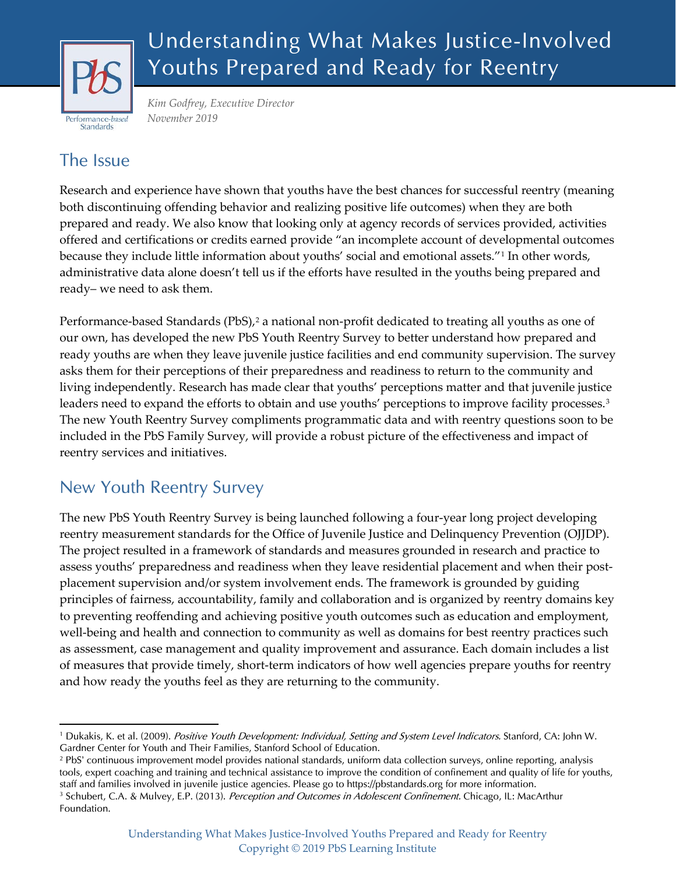

# Understanding What Makes Justice-Involved Youths Prepared and Ready for Reentry

*Kim Godfrey, Executive Director November 2019*

### The Issue

Research and experience have shown that youths have the best chances for successful reentry (meaning both discontinuing offending behavior and realizing positive life outcomes) when they are both prepared and ready. We also know that looking only at agency records of services provided, activities offered and certifications or credits earned provide "an incomplete account of developmental outcomes because they include little information about youths' social and emotional assets."[1](#page-0-0) In other words, administrative data alone doesn't tell us if the efforts have resulted in the youths being prepared and ready– we need to ask them.

Performance-based Standards (PbS),<sup>[2](#page-0-1)</sup> a national non-profit dedicated to treating all youths as one of our own, has developed the new PbS Youth Reentry Survey to better understand how prepared and ready youths are when they leave juvenile justice facilities and end community supervision. The survey asks them for their perceptions of their preparedness and readiness to return to the community and living independently. Research has made clear that youths' perceptions matter and that juvenile justice leaders need to expand the efforts to obtain and use youths' perceptions to improve facility processes.<sup>[3](#page-0-2)</sup> The new Youth Reentry Survey compliments programmatic data and with reentry questions soon to be included in the PbS Family Survey, will provide a robust picture of the effectiveness and impact of reentry services and initiatives.

## New Youth Reentry Survey

The new PbS Youth Reentry Survey is being launched following a four-year long project developing reentry measurement standards for the Office of Juvenile Justice and Delinquency Prevention (OJJDP). The project resulted in a framework of standards and measures grounded in research and practice to assess youths' preparedness and readiness when they leave residential placement and when their postplacement supervision and/or system involvement ends. The framework is grounded by guiding principles of fairness, accountability, family and collaboration and is organized by reentry domains key to preventing reoffending and achieving positive youth outcomes such as education and employment, well-being and health and connection to community as well as domains for best reentry practices such as assessment, case management and quality improvement and assurance. Each domain includes a list of measures that provide timely, short-term indicators of how well agencies prepare youths for reentry and how ready the youths feel as they are returning to the community.

<span id="page-0-0"></span><sup>&</sup>lt;sup>1</sup> Dukakis, K. et al. (2009). Positive Youth Development: Individual, Setting and System Level Indicators. Stanford, CA: John W. Gardner Center for Youth and Their Families, Stanford School of Education.

<span id="page-0-1"></span><sup>2</sup> PbS' continuous improvement model provides national standards, uniform data collection surveys, online reporting, analysis tools, expert coaching and training and technical assistance to improve the condition of confinement and quality of life for youths, staff and families involved in juvenile justice agencies. Please go to [https://pbstandards.org](https://pbstandards.org/) for more information.

<span id="page-0-2"></span><sup>&</sup>lt;sup>3</sup> Schubert, C.A. & Mulvey, E.P. (2013). Perception and Outcomes in Adolescent Confinement. Chicago, IL: MacArthur Foundation.